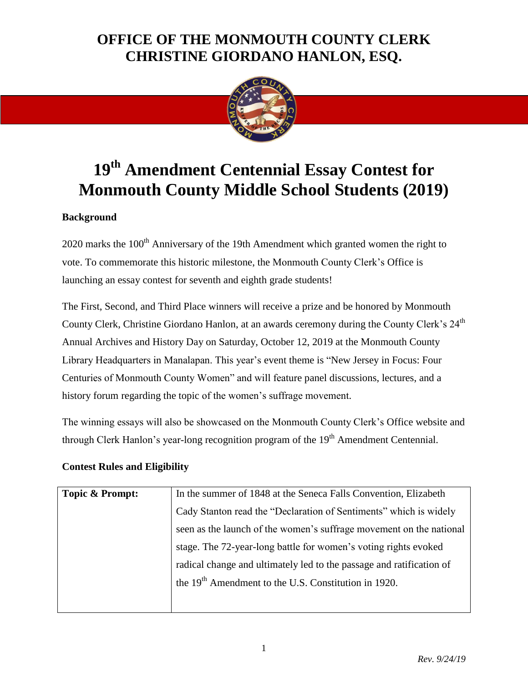

# **19th Amendment Centennial Essay Contest for Monmouth County Middle School Students (2019)**

#### **Background**

 $2020$  marks the  $100<sup>th</sup>$  Anniversary of the 19th Amendment which granted women the right to vote. To commemorate this historic milestone, the Monmouth County Clerk's Office is launching an essay contest for seventh and eighth grade students!

The First, Second, and Third Place winners will receive a prize and be honored by Monmouth County Clerk, Christine Giordano Hanlon, at an awards ceremony during the County Clerk's 24<sup>th</sup> Annual Archives and History Day on Saturday, October 12, 2019 at the Monmouth County Library Headquarters in Manalapan. This year's event theme is "New Jersey in Focus: Four Centuries of Monmouth County Women" and will feature panel discussions, lectures, and a history forum regarding the topic of the women's suffrage movement.

The winning essays will also be showcased on the Monmouth County Clerk's Office website and through Clerk Hanlon's year-long recognition program of the  $19<sup>th</sup>$  Amendment Centennial.

#### **Contest Rules and Eligibility**

| Topic & Prompt: | In the summer of 1848 at the Seneca Falls Convention, Elizabeth      |
|-----------------|----------------------------------------------------------------------|
|                 | Cady Stanton read the "Declaration of Sentiments" which is widely    |
|                 | seen as the launch of the women's suffrage movement on the national  |
|                 | stage. The 72-year-long battle for women's voting rights evoked      |
|                 | radical change and ultimately led to the passage and ratification of |
|                 | the 19 <sup>th</sup> Amendment to the U.S. Constitution in 1920.     |
|                 |                                                                      |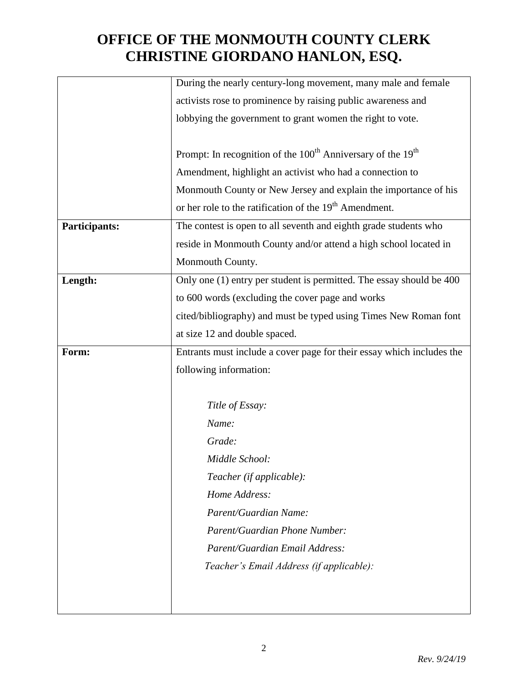|               | During the nearly century-long movement, many male and female                       |
|---------------|-------------------------------------------------------------------------------------|
|               | activists rose to prominence by raising public awareness and                        |
|               | lobbying the government to grant women the right to vote.                           |
|               |                                                                                     |
|               | Prompt: In recognition of the 100 <sup>th</sup> Anniversary of the 19 <sup>th</sup> |
|               | Amendment, highlight an activist who had a connection to                            |
|               | Monmouth County or New Jersey and explain the importance of his                     |
|               | or her role to the ratification of the 19 <sup>th</sup> Amendment.                  |
| Participants: | The contest is open to all seventh and eighth grade students who                    |
|               | reside in Monmouth County and/or attend a high school located in                    |
|               | Monmouth County.                                                                    |
| Length:       | Only one (1) entry per student is permitted. The essay should be 400                |
|               | to 600 words (excluding the cover page and works                                    |
|               | cited/bibliography) and must be typed using Times New Roman font                    |
|               | at size 12 and double spaced.                                                       |
| Form:         | Entrants must include a cover page for their essay which includes the               |
|               | following information:                                                              |
|               |                                                                                     |
|               | Title of Essay:                                                                     |
|               | Name:                                                                               |
|               | Grade:                                                                              |
|               | Middle School:                                                                      |
|               | Teacher (if applicable):                                                            |
|               | Home Address:                                                                       |
|               | Parent/Guardian Name:                                                               |
|               | Parent/Guardian Phone Number:                                                       |
|               | Parent/Guardian Email Address:                                                      |
|               | Teacher's Email Address (if applicable):                                            |
|               |                                                                                     |
|               |                                                                                     |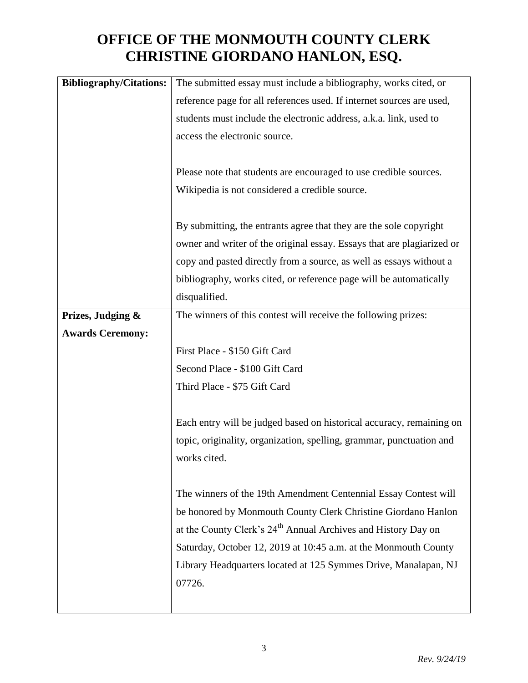| <b>Bibliography/Citations:</b> | The submitted essay must include a bibliography, works cited, or          |
|--------------------------------|---------------------------------------------------------------------------|
|                                | reference page for all references used. If internet sources are used,     |
|                                | students must include the electronic address, a.k.a. link, used to        |
|                                | access the electronic source.                                             |
|                                |                                                                           |
|                                | Please note that students are encouraged to use credible sources.         |
|                                | Wikipedia is not considered a credible source.                            |
|                                |                                                                           |
|                                | By submitting, the entrants agree that they are the sole copyright        |
|                                | owner and writer of the original essay. Essays that are plagiarized or    |
|                                | copy and pasted directly from a source, as well as essays without a       |
|                                | bibliography, works cited, or reference page will be automatically        |
|                                | disqualified.                                                             |
| Prizes, Judging &              | The winners of this contest will receive the following prizes:            |
| <b>Awards Ceremony:</b>        |                                                                           |
|                                | First Place - \$150 Gift Card                                             |
|                                | Second Place - \$100 Gift Card                                            |
|                                | Third Place - \$75 Gift Card                                              |
|                                |                                                                           |
|                                | Each entry will be judged based on historical accuracy, remaining on      |
|                                | topic, originality, organization, spelling, grammar, punctuation and      |
|                                | works cited.                                                              |
|                                |                                                                           |
|                                | The winners of the 19th Amendment Centennial Essay Contest will           |
|                                | be honored by Monmouth County Clerk Christine Giordano Hanlon             |
|                                | at the County Clerk's 24 <sup>th</sup> Annual Archives and History Day on |
|                                | Saturday, October 12, 2019 at 10:45 a.m. at the Monmouth County           |
|                                | Library Headquarters located at 125 Symmes Drive, Manalapan, NJ           |
|                                | 07726.                                                                    |
|                                |                                                                           |